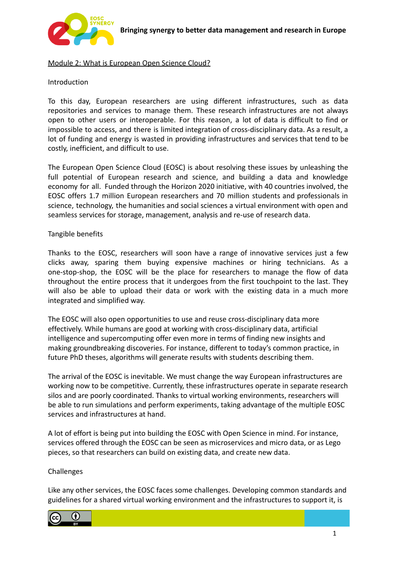

## Module 2: What is European Open Science Cloud?

### **Introduction**

To this day, European researchers are using different infrastructures, such as data repositories and services to manage them. These research infrastructures are not always open to other users or interoperable. For this reason, a lot of data is difficult to find or impossible to access, and there is limited integration of cross-disciplinary data. As a result, a lot of funding and energy is wasted in providing infrastructures and services that tend to be costly, inefficient, and difficult to use.

The European Open Science Cloud (EOSC) is about resolving these issues by unleashing the full potential of European research and science, and building a data and knowledge economy for all. [Funded](https://ec.europa.eu/research/openscience/index.cfm?pg=open-science-cloud) through the Horizon 2020 [initiative](https://ec.europa.eu/programmes/horizon2020/en/what-horizon-2020), with 40 [countries](https://www.nature.com/articles/d41586-019-01568-x) involved, the EOSC [offers](https://eosc-portal.eu/about/eosc) 1.7 million European researchers and 70 million students and professionals in science, technology, the humanities and social sciences a virtual environment with open and seamless services for storage, management, analysis and re-use of research data.

#### Tangible benefits

Thanks to the EOSC, researchers will soon have a range of innovative services just a few clicks away, sparing them buying expensive machines or hiring technicians. As a one-stop-shop, the EOSC will be the place for researchers to manage the flow of data throughout the entire process that it undergoes from the first touchpoint to the last. They will also be able to upload their data or work with the existing data in a much more integrated and simplified way.

The EOSC will also open opportunities to use and reuse cross-disciplinary data more effectively. While humans are good at working with cross-disciplinary data, artificial intelligence and supercomputing offer even more in terms of finding new insights and making groundbreaking discoveries. For instance, different to today's common practice, in future PhD theses, algorithms will generate results with students describing them.

The arrival of the EOSC is inevitable. We must change the way European infrastructures are working now to be competitive. Currently, these infrastructures operate in separate research silos and are poorly coordinated. Thanks to virtual working environments, researchers will be able to run simulations and perform experiments, taking advantage of the multiple EOSC services and infrastructures at hand.

A lot of effort is being put into building the EOSC with Open Science in mind. For instance, services offered through the EOSC can be seen as microservices and micro data, or as Lego pieces, so that researchers can build on existing data, and create new data.

### Challenges

Like any other services, the EOSC faces some challenges. Developing common standards and guidelines for a shared virtual working environment and the infrastructures to support it, is